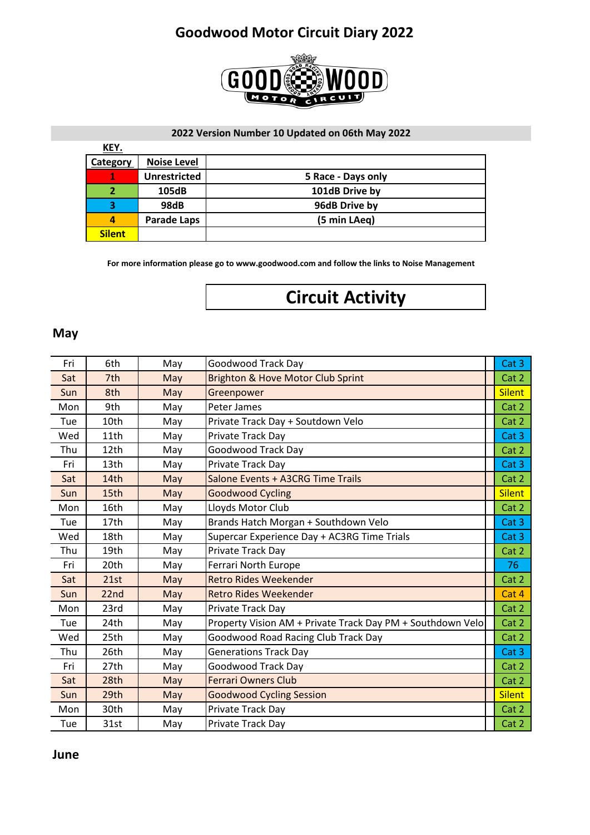

#### **2022 Version Number 10 Updated on 06th May 2022**

| <u>KEY.</u>   |                     |                    |
|---------------|---------------------|--------------------|
| Category      | <b>Noise Level</b>  |                    |
|               | <b>Unrestricted</b> | 5 Race - Days only |
|               | 105dB               | 101dB Drive by     |
| 3             | 98dB                | 96dB Drive by      |
| 4             | <b>Parade Laps</b>  | (5 min LAeg)       |
| <b>Silent</b> |                     |                    |

**For more information please go to www.goodwood.com and follow the links to Noise Management**

# **Circuit Activity**

#### **May**

| Fri | 6th              | May | <b>Goodwood Track Day</b>                                  | Cat 3         |
|-----|------------------|-----|------------------------------------------------------------|---------------|
| Sat | 7th              | May | Brighton & Hove Motor Club Sprint                          | Cat 2         |
| Sun | 8th              | May | Greenpower                                                 | <b>Silent</b> |
| Mon | 9th              | May | Peter James                                                | Cat 2         |
| Tue | 10th             | May | Private Track Day + Soutdown Velo                          | Cat 2         |
| Wed | 11th             | May | Private Track Day                                          | Cat 3         |
| Thu | 12th             | May | <b>Goodwood Track Day</b>                                  | Cat 2         |
| Fri | 13th             | May | Private Track Day                                          | Cat 3         |
| Sat | 14th             | May | Salone Events + A3CRG Time Trails                          | Cat 2         |
| Sun | 15th             | May | <b>Goodwood Cycling</b>                                    | <b>Silent</b> |
| Mon | 16th             | May | Lloyds Motor Club                                          | Cat 2         |
| Tue | 17th             | May | Brands Hatch Morgan + Southdown Velo                       | Cat 3         |
| Wed | 18th             | May | Supercar Experience Day + AC3RG Time Trials                | Cat 3         |
| Thu | 19th             | May | Private Track Day                                          | Cat 2         |
| Fri | 20th             | May | Ferrari North Europe                                       | 76            |
| Sat | 21st             | May | <b>Retro Rides Weekender</b>                               | Cat 2         |
| Sun | 22 <sub>nd</sub> | May | <b>Retro Rides Weekender</b>                               | Cat 4         |
| Mon | 23rd             | May | Private Track Day                                          | Cat 2         |
| Tue | 24th             | May | Property Vision AM + Private Track Day PM + Southdown Velo | Cat 2         |
| Wed | 25th             | May | <b>Goodwood Road Racing Club Track Day</b>                 | Cat 2         |
| Thu | 26th             | May | <b>Generations Track Day</b>                               | Cat 3         |
| Fri | 27th             | May | <b>Goodwood Track Day</b>                                  | Cat 2         |
| Sat | 28th             | May | <b>Ferrari Owners Club</b>                                 | Cat 2         |
| Sun | 29th             | May | <b>Goodwood Cycling Session</b>                            | <b>Silent</b> |
| Mon | 30th             | May | Private Track Day                                          | Cat 2         |
| Tue | 31st             | May | Private Track Day                                          | Cat 2         |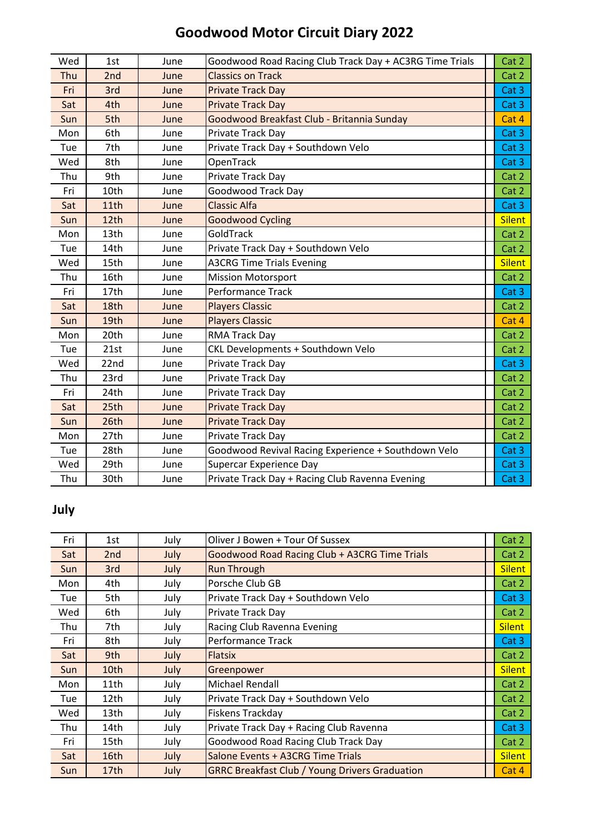| Wed | 1st  | June | Goodwood Road Racing Club Track Day + AC3RG Time Trials | Cat 2              |
|-----|------|------|---------------------------------------------------------|--------------------|
| Thu | 2nd  | June | <b>Classics on Track</b>                                | Cat 2              |
| Fri | 3rd  | June | <b>Private Track Day</b>                                | Cat 3              |
| Sat | 4th  | June | <b>Private Track Day</b>                                | Cat 3              |
| Sun | 5th  | June | Goodwood Breakfast Club - Britannia Sunday              | Cat 4              |
| Mon | 6th  | June | Private Track Day                                       | Cat 3              |
| Tue | 7th  | June | Private Track Day + Southdown Velo                      | Cat 3              |
| Wed | 8th  | June | OpenTrack                                               | Cat 3              |
| Thu | 9th  | June | Private Track Day                                       | Cat 2              |
| Fri | 10th | June | <b>Goodwood Track Day</b>                               | Cat 2              |
| Sat | 11th | June | <b>Classic Alfa</b>                                     | Cat 3              |
| Sun | 12th | June | <b>Goodwood Cycling</b>                                 | <b>Silent</b>      |
| Mon | 13th | June | GoldTrack                                               | Cat 2              |
| Tue | 14th | June | Private Track Day + Southdown Velo                      | Cat 2              |
| Wed | 15th | June | <b>A3CRG Time Trials Evening</b>                        | <b>Silent</b>      |
| Thu | 16th | June | <b>Mission Motorsport</b>                               | Cat 2              |
| Fri | 17th | June | <b>Performance Track</b>                                | Cat 3 <sub>1</sub> |
| Sat | 18th | June | <b>Players Classic</b>                                  | Cat 2              |
| Sun | 19th | June | <b>Players Classic</b>                                  | Cat 4              |
| Mon | 20th | June | RMA Track Day                                           | Cat 2              |
| Tue | 21st | June | CKL Developments + Southdown Velo                       | Cat 2              |
| Wed | 22nd | June | Private Track Day                                       | Cat 3              |
| Thu | 23rd | June | Private Track Day                                       | Cat 2              |
| Fri | 24th | June | Private Track Day                                       | Cat 2              |
| Sat | 25th | June | <b>Private Track Day</b>                                | Cat 2              |
| Sun | 26th | June | <b>Private Track Day</b>                                | Cat 2              |
| Mon | 27th | June | Private Track Day                                       | Cat 2              |
| Tue | 28th | June | Goodwood Revival Racing Experience + Southdown Velo     | Cat 3              |
| Wed | 29th | June | Supercar Experience Day                                 | Cat 3 <sub>1</sub> |
| Thu | 30th | June | Private Track Day + Racing Club Ravenna Evening         | Cat 3              |

### **July**

| Fri | 1st              | July | Oliver J Bowen + Tour Of Sussex                       | Cat 2         |  |
|-----|------------------|------|-------------------------------------------------------|---------------|--|
| Sat | 2 <sub>nd</sub>  | July | Goodwood Road Racing Club + A3CRG Time Trials         | Cat 2         |  |
| Sun | 3rd              | July | <b>Run Through</b>                                    | <b>Silent</b> |  |
| Mon | 4th              | July | Porsche Club GB                                       | Cat 2         |  |
| Tue | 5th              | July | Private Track Day + Southdown Velo                    | Cat 3         |  |
| Wed | 6th              | July | Private Track Day                                     | Cat 2         |  |
| Thu | 7th              | July | Racing Club Ravenna Evening                           | <b>Silent</b> |  |
| Fri | 8th              | July | Performance Track                                     | Cat 3         |  |
| Sat | 9th              | July | <b>Flatsix</b>                                        | Cat 2         |  |
| Sun | 10th             | July | Greenpower                                            | <b>Silent</b> |  |
| Mon | 11th             | July | Michael Rendall                                       | Cat 2         |  |
| Tue | 12th             | July | Private Track Day + Southdown Velo                    | Cat 2         |  |
| Wed | 13th             | July | Fiskens Trackday                                      | Cat 2         |  |
| Thu | 14th             | July | Private Track Day + Racing Club Ravenna               | Cat 3         |  |
| Fri | 15th             | July | Goodwood Road Racing Club Track Day                   | Cat 2         |  |
| Sat | 16th             | July | Salone Events + A3CRG Time Trials                     | <b>Silent</b> |  |
| Sun | 17 <sub>th</sub> | July | <b>GRRC Breakfast Club / Young Drivers Graduation</b> | Cat 4         |  |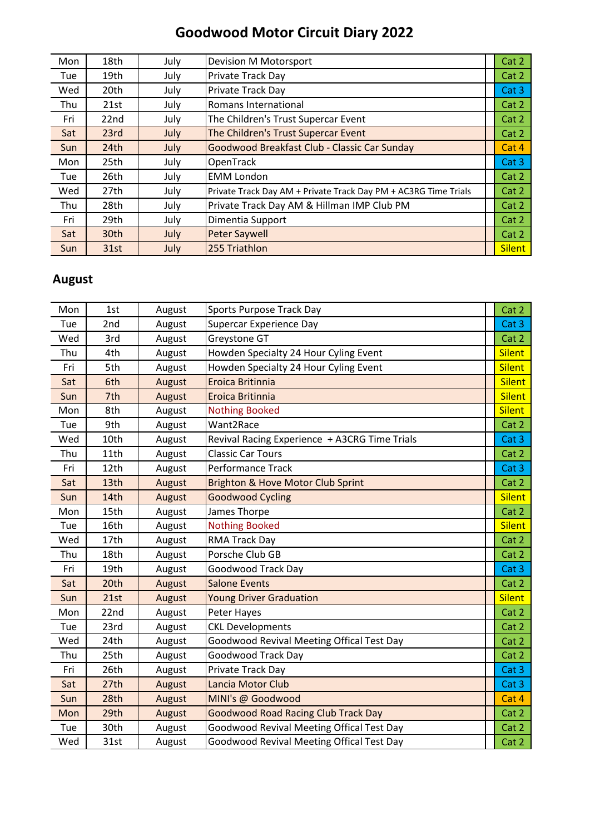| Mon        | 18th | July | Devision M Motorsport                                           | Cat 2         |
|------------|------|------|-----------------------------------------------------------------|---------------|
| Tue        | 19th | July | Private Track Day                                               | Cat 2         |
| Wed        | 20th | July | <b>Private Track Day</b>                                        | Cat 3         |
| Thu        | 21st | July | Romans International                                            | Cat 2         |
| Fri        | 22nd | July | The Children's Trust Supercar Event                             | Cat 2         |
| Sat        | 23rd | July | The Children's Trust Supercar Event                             | Cat 2         |
| Sun        | 24th | July | Goodwood Breakfast Club - Classic Car Sunday                    | Cat 4         |
| Mon        | 25th | July | OpenTrack                                                       | Cat 3         |
| Tue        | 26th | July | <b>EMM London</b>                                               | Cat 2         |
| Wed        | 27th | July | Private Track Day AM + Private Track Day PM + AC3RG Time Trials | Cat 2         |
| Thu        | 28th | July | Private Track Day AM & Hillman IMP Club PM                      | Cat 2         |
| Fri        | 29th | July | Dimentia Support                                                | Cat 2         |
| Sat        | 30th | July | <b>Peter Saywell</b>                                            | Cat 2         |
| <b>Sun</b> | 31st | July | 255 Triathlon                                                   | <b>Silent</b> |

#### **August**

| Mon | 1st  | August | Sports Purpose Track Day                         | Cat 2         |
|-----|------|--------|--------------------------------------------------|---------------|
| Tue | 2nd  | August | <b>Supercar Experience Day</b>                   | Cat 3         |
| Wed | 3rd  | August | Greystone GT                                     | Cat 2         |
| Thu | 4th  | August | Howden Specialty 24 Hour Cyling Event            | <b>Silent</b> |
| Fri | 5th  | August | Howden Specialty 24 Hour Cyling Event            | <b>Silent</b> |
| Sat | 6th  | August | Eroica Britinnia                                 | <b>Silent</b> |
| Sun | 7th  | August | Eroica Britinnia                                 | <b>Silent</b> |
| Mon | 8th  | August | <b>Nothing Booked</b>                            | <b>Silent</b> |
| Tue | 9th  | August | Want2Race                                        | Cat 2         |
| Wed | 10th | August | Revival Racing Experience + A3CRG Time Trials    | Cat 3         |
| Thu | 11th | August | <b>Classic Car Tours</b>                         | Cat 2         |
| Fri | 12th | August | Performance Track                                | Cat 3         |
| Sat | 13th | August | Brighton & Hove Motor Club Sprint                | Cat 2         |
| Sun | 14th | August | <b>Goodwood Cycling</b>                          | <b>Silent</b> |
| Mon | 15th | August | James Thorpe                                     | Cat 2         |
| Tue | 16th | August | <b>Nothing Booked</b>                            | <b>Silent</b> |
| Wed | 17th | August | RMA Track Day                                    | Cat 2         |
| Thu | 18th | August | Porsche Club GB                                  | Cat 2         |
| Fri | 19th | August | Goodwood Track Day                               | Cat 3         |
| Sat | 20th | August | <b>Salone Events</b>                             | Cat 2         |
| Sun | 21st | August | <b>Young Driver Graduation</b>                   | <b>Silent</b> |
| Mon | 22nd | August | Peter Hayes                                      | Cat 2         |
| Tue | 23rd | August | <b>CKL Developments</b>                          | Cat 2         |
| Wed | 24th | August | Goodwood Revival Meeting Offical Test Day        | Cat 2         |
| Thu | 25th | August | <b>Goodwood Track Day</b>                        | Cat 2         |
| Fri | 26th | August | Private Track Day                                | Cat 3         |
| Sat | 27th | August | <b>Lancia Motor Club</b>                         | Cat 3         |
| Sun | 28th | August | MINI's @ Goodwood                                | Cat 4         |
| Mon | 29th | August | <b>Goodwood Road Racing Club Track Day</b>       | Cat 2         |
| Tue | 30th | August | Goodwood Revival Meeting Offical Test Day        | Cat 2         |
| Wed | 31st | August | <b>Goodwood Revival Meeting Offical Test Day</b> | Cat 2         |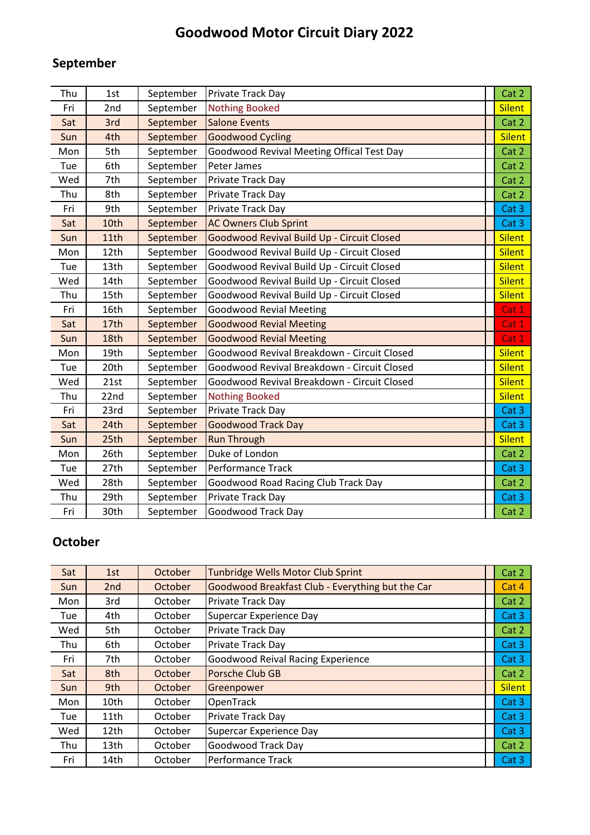### **September**

| Thu | 1st  | September | Private Track Day                           | Cat 2         |
|-----|------|-----------|---------------------------------------------|---------------|
| Fri | 2nd  | September | <b>Nothing Booked</b>                       | <b>Silent</b> |
| Sat | 3rd  | September | <b>Salone Events</b>                        | Cat 2         |
| Sun | 4th  | September | <b>Goodwood Cycling</b>                     | <b>Silent</b> |
| Mon | 5th  | September | Goodwood Revival Meeting Offical Test Day   | Cat 2         |
| Tue | 6th  | September | Peter James                                 | Cat 2         |
| Wed | 7th  | September | Private Track Day                           | Cat 2         |
| Thu | 8th  | September | Private Track Day                           | Cat 2         |
| Fri | 9th  | September | Private Track Day                           | Cat 3         |
| Sat | 10th | September | <b>AC Owners Club Sprint</b>                | Cat 3         |
| Sun | 11th | September | Goodwood Revival Build Up - Circuit Closed  | <b>Silent</b> |
| Mon | 12th | September | Goodwood Revival Build Up - Circuit Closed  | <b>Silent</b> |
| Tue | 13th | September | Goodwood Revival Build Up - Circuit Closed  | <b>Silent</b> |
| Wed | 14th | September | Goodwood Revival Build Up - Circuit Closed  | <b>Silent</b> |
| Thu | 15th | September | Goodwood Revival Build Up - Circuit Closed  | <b>Silent</b> |
| Fri | 16th | September | <b>Goodwood Revial Meeting</b>              | Cat 1         |
| Sat | 17th | September | <b>Goodwood Revial Meeting</b>              | Cat 1         |
| Sun | 18th | September | <b>Goodwood Revial Meeting</b>              | Cat 1         |
| Mon | 19th | September | Goodwood Revival Breakdown - Circuit Closed | <b>Silent</b> |
| Tue | 20th | September | Goodwood Revival Breakdown - Circuit Closed | <b>Silent</b> |
| Wed | 21st | September | Goodwood Revival Breakdown - Circuit Closed | <b>Silent</b> |
| Thu | 22nd | September | <b>Nothing Booked</b>                       | <b>Silent</b> |
| Fri | 23rd | September | Private Track Day                           | Cat 3         |
| Sat | 24th | September | <b>Goodwood Track Day</b>                   | Cat 3         |
| Sun | 25th | September | <b>Run Through</b>                          | <b>Silent</b> |
| Mon | 26th | September | Duke of London                              | Cat 2         |
| Tue | 27th | September | Performance Track                           | Cat 3         |
| Wed | 28th | September | Goodwood Road Racing Club Track Day         | Cat 2         |
| Thu | 29th | September | Private Track Day                           | Cat 3         |
| Fri | 30th | September | <b>Goodwood Track Day</b>                   | Cat 2         |

#### **October**

| Sat        | 1st              | October | <b>Tunbridge Wells Motor Club Sprint</b>         | Cat 2         |
|------------|------------------|---------|--------------------------------------------------|---------------|
| Sun        | 2nd              | October | Goodwood Breakfast Club - Everything but the Car | Cat 4         |
| Mon        | 3rd              | October | Private Track Day                                | Cat 2         |
| Tue        | 4th              | October | Supercar Experience Day                          | Cat 3         |
| Wed        | 5th              | October | Private Track Day                                | Cat 2         |
| Thu        | 6th              | October | Private Track Day                                | Cat 3         |
| Fri        | 7th              | October | <b>Goodwood Reival Racing Experience</b>         | Cat 3         |
| Sat        | 8th              | October | Porsche Club GB                                  | Cat 2         |
| <b>Sun</b> | 9th              | October | Greenpower                                       | <b>Silent</b> |
| Mon        | 10th             | October | OpenTrack                                        | Cat 3         |
| Tue        | 11th             | October | Private Track Day                                | Cat 3         |
| Wed        | 12th             | October | Supercar Experience Day                          | Cat 3         |
| Thu        | 13 <sub>th</sub> | October | Goodwood Track Day                               | Cat 2         |
| Fri        | 14th             | October | <b>Performance Track</b>                         | Cat 3         |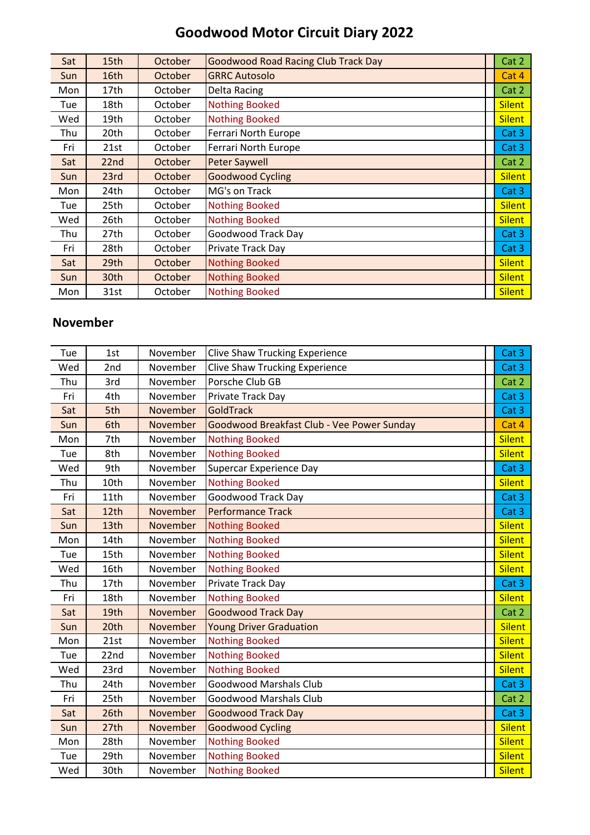| Sat | 15th             | October | <b>Goodwood Road Racing Club Track Day</b> | Cat 2         |
|-----|------------------|---------|--------------------------------------------|---------------|
| Sun | 16th             | October | <b>GRRC Autosolo</b>                       | Cat 4         |
| Mon | 17th             | October | Delta Racing                               | Cat 2         |
| Tue | 18th             | October | <b>Nothing Booked</b>                      | <b>Silent</b> |
| Wed | 19th             | October | <b>Nothing Booked</b>                      | <b>Silent</b> |
| Thu | 20th             | October | Ferrari North Europe                       | Cat 3         |
| Fri | 21st             | October | <b>Ferrari North Europe</b>                | Cat 3         |
| Sat | 22nd             | October | <b>Peter Saywell</b>                       | Cat 2         |
| Sun | 23rd             | October | <b>Goodwood Cycling</b>                    | <b>Silent</b> |
| Mon | 24th             | October | MG's on Track                              | Cat 3         |
| Tue | 25th             | October | <b>Nothing Booked</b>                      | <b>Silent</b> |
| Wed | 26th             | October | <b>Nothing Booked</b>                      | <b>Silent</b> |
| Thu | 27th             | October | Goodwood Track Day                         | Cat 3         |
| Fri | 28th             | October | Private Track Day                          | Cat 3         |
| Sat | 29 <sub>th</sub> | October | <b>Nothing Booked</b>                      | <b>Silent</b> |
| Sun | 30th             | October | <b>Nothing Booked</b>                      | <b>Silent</b> |
| Mon | 31st             | October | <b>Nothing Booked</b>                      | <b>Silent</b> |

#### **November**

| Tue | 1st  | November | <b>Clive Shaw Trucking Experience</b>      | Cat 3              |
|-----|------|----------|--------------------------------------------|--------------------|
| Wed | 2nd  | November | <b>Clive Shaw Trucking Experience</b>      | Cat 3 <sub>1</sub> |
| Thu | 3rd  | November | Porsche Club GB                            | Cat 2              |
| Fri | 4th  | November | Private Track Day                          | Cat 3              |
| Sat | 5th  | November | <b>GoldTrack</b>                           | Cat 3              |
| Sun | 6th  | November | Goodwood Breakfast Club - Vee Power Sunday | Cat 4              |
| Mon | 7th  | November | <b>Nothing Booked</b>                      | <b>Silent</b>      |
| Tue | 8th  | November | <b>Nothing Booked</b>                      | <b>Silent</b>      |
| Wed | 9th  | November | Supercar Experience Day                    | Cat 3              |
| Thu | 10th | November | <b>Nothing Booked</b>                      | <b>Silent</b>      |
| Fri | 11th | November | Goodwood Track Day                         | Cat 3              |
| Sat | 12th | November | <b>Performance Track</b>                   | Cat 3              |
| Sun | 13th | November | <b>Nothing Booked</b>                      | <b>Silent</b>      |
| Mon | 14th | November | <b>Nothing Booked</b>                      | <b>Silent</b>      |
| Tue | 15th | November | <b>Nothing Booked</b>                      | <b>Silent</b>      |
| Wed | 16th | November | <b>Nothing Booked</b>                      | <b>Silent</b>      |
| Thu | 17th | November | Private Track Day                          | Cat 3              |
| Fri | 18th | November | <b>Nothing Booked</b>                      | <b>Silent</b>      |
| Sat | 19th | November | <b>Goodwood Track Day</b>                  | Cat 2              |
| Sun | 20th | November | <b>Young Driver Graduation</b>             | <b>Silent</b>      |
| Mon | 21st | November | <b>Nothing Booked</b>                      | <b>Silent</b>      |
| Tue | 22nd | November | <b>Nothing Booked</b>                      | <b>Silent</b>      |
| Wed | 23rd | November | <b>Nothing Booked</b>                      | <b>Silent</b>      |
| Thu | 24th | November | <b>Goodwood Marshals Club</b>              | Cat 3              |
| Fri | 25th | November | <b>Goodwood Marshals Club</b>              | Cat 2              |
| Sat | 26th | November | <b>Goodwood Track Day</b>                  | Cat 3              |
| Sun | 27th | November | <b>Goodwood Cycling</b>                    | <b>Silent</b>      |
| Mon | 28th | November | <b>Nothing Booked</b>                      | <b>Silent</b>      |
| Tue | 29th | November | <b>Nothing Booked</b>                      | <b>Silent</b>      |
| Wed | 30th | November | <b>Nothing Booked</b>                      | <b>Silent</b>      |